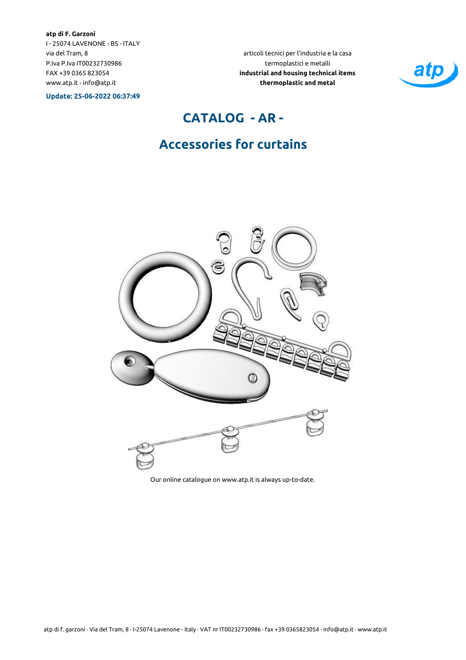**atp di F. Garzoni** I - 25074 LAVENONE - BS - ITALY via del Tram, 8 P.Iva P.Iva IT00232730986 FAX +39 0365 823054 www.atp.it - info@atp.it

**Update: 25-06-2022 06:37:49**

articoli tecnici per l'industria e la casa termoplastici e metalli **industrial and housing technical items thermoplastic and metal**



## **CATALOG - AR -**

## **Accessories for curtains**



Our online catalogue on www.atp.it is always up-to-date.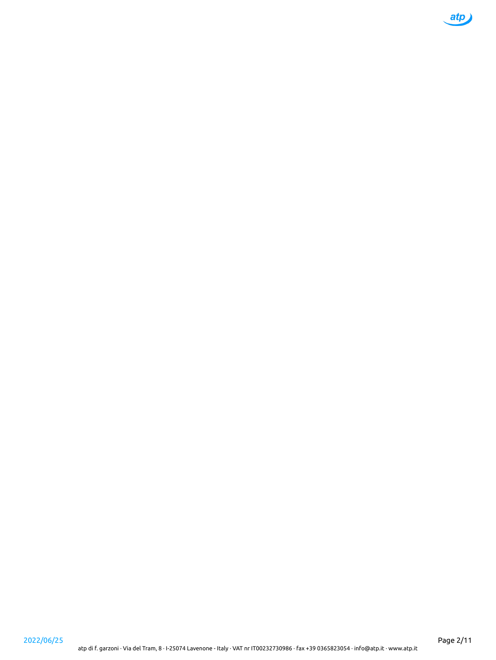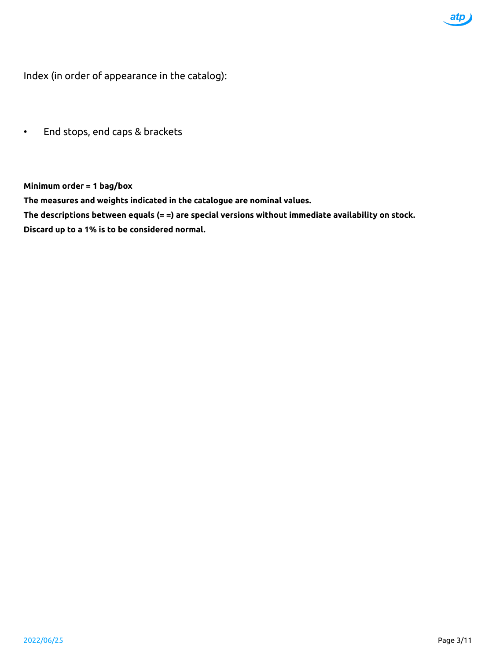

Index (in order of appearance in the catalog):

• End stops, end caps & brackets

## **Minimum order = 1 bag/box**

**The measures and weights indicated in the catalogue are nominal values.**

**The descriptions between equals (= =) are special versions without immediate availability on stock. Discard up to a 1% is to be considered normal.**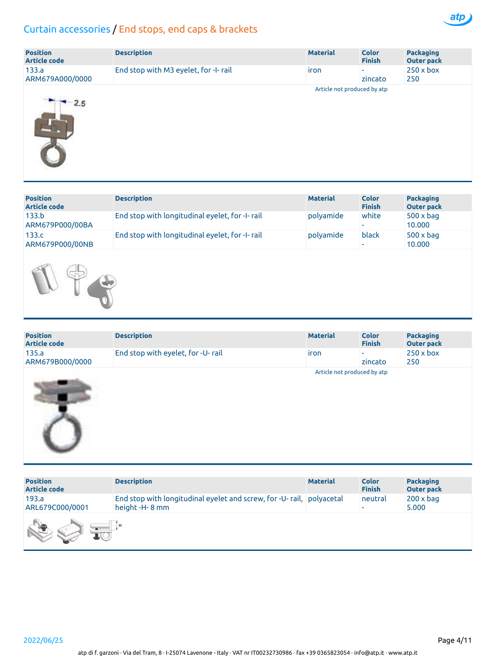

## [Curtain accessories](https://www.atp.it/lang/EN/catalogo/cerca/std_id_categoria=1|cst_prodotto_principale=on|cst_gruppo_1=6) / [End stops, end caps & brackets](https://www.atp.it/lang/EN/catalogo/cerca/std_id_categoria=1|cst_prodotto_principale=on|cst_gruppo_1=27)

| <b>Position</b><br><b>Article code</b> | <b>Description</b>                    | <b>Material</b> | <b>Color</b><br><b>Finish</b> | <b>Packaging</b><br><b>Outer pack</b> |
|----------------------------------------|---------------------------------------|-----------------|-------------------------------|---------------------------------------|
| 133.a<br>ARM679A000/0000               | End stop with M3 eyelet, for -I- rail | iron            | zincato                       | $250 \times$ box<br>250               |
| 2.5                                    | Article not produced by atp           |                 |                               |                                       |

| <b>Position</b><br><b>Article code</b> | <b>Description</b>                              | <b>Material</b> | <b>Color</b><br><b>Finish</b> | <b>Packaging</b><br><b>Outer pack</b> |
|----------------------------------------|-------------------------------------------------|-----------------|-------------------------------|---------------------------------------|
| 133.b<br>ARM679P000/00BA               | End stop with longitudinal eyelet, for -I- rail | polyamide       | white                         | $500 \times$ bag<br>10.000            |
| 133.c<br>ARM679P000/00NB               | End stop with longitudinal eyelet, for -I- rail | polyamide       | black                         | $500 \times$ bag<br>10.000            |



| <b>Position</b><br><b>Article code</b>                                                                        | <b>Description</b>                 | <b>Material</b> | <b>Color</b><br><b>Finish</b> | <b>Packaging</b><br><b>Outer pack</b> |  |
|---------------------------------------------------------------------------------------------------------------|------------------------------------|-----------------|-------------------------------|---------------------------------------|--|
| 135.a<br>ARM679B000/0000                                                                                      | End stop with eyelet, for -U- rail | <b>Iron</b>     | zincato                       | $250 \times$ box<br>250               |  |
| the same state and the same state and the same state of the same state of the same state of the same state of | Article not produced by atp        |                 |                               |                                       |  |



| <b>Packaging</b><br><b>Color</b><br><b>Finish</b><br><b>Outer pack</b> | <b>Material</b> | <b>Description</b>                                                                      | <b>Position</b><br><b>Article code</b> |
|------------------------------------------------------------------------|-----------------|-----------------------------------------------------------------------------------------|----------------------------------------|
| $200 \times$ bag<br>neutral<br>5.000                                   |                 | End stop with longitudinal eyelet and screw, for -U- rail, polyacetal<br>height -H-8 mm | 193.a<br>ARL679C000/0001               |
|                                                                        |                 |                                                                                         |                                        |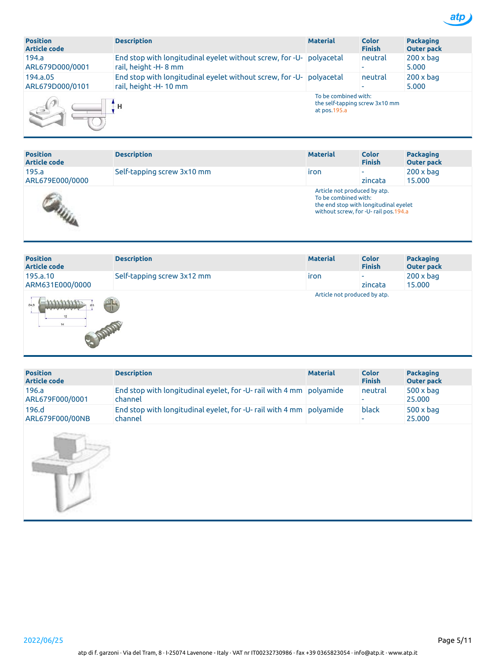| <b>Position</b><br><b>Article code</b> | <b>Description</b>                                                                           | <b>Material</b>                                                          | <b>Color</b><br><b>Finish</b> | <b>Packaging</b><br><b>Outer pack</b> |
|----------------------------------------|----------------------------------------------------------------------------------------------|--------------------------------------------------------------------------|-------------------------------|---------------------------------------|
| 194.a<br>ARL679D000/0001               | End stop with longitudinal eyelet without screw, for -U- polyacetal<br>rail, height -H-8 mm  |                                                                          | neutral                       | $200 \times$ bag<br>5.000             |
| 194.a.05<br>ARL679D000/0101            | End stop with longitudinal eyelet without screw, for -U- polyacetal<br>rail, height -H-10 mm |                                                                          | neutral                       | $200 \times$ bag<br>5.000             |
|                                        | н                                                                                            | To be combined with:<br>the self-tapping screw 3x10 mm<br>at pos. 195. a |                               |                                       |

| <b>Position</b><br><b>Article code</b> | <b>Description</b>                                                                                                                     | <b>Material</b> | Color<br><b>Finish</b> | <b>Packaging</b><br><b>Outer pack</b> |
|----------------------------------------|----------------------------------------------------------------------------------------------------------------------------------------|-----------------|------------------------|---------------------------------------|
| 195.a<br>ARL679E000/0000               | Self-tapping screw 3x10 mm                                                                                                             | <b>Iron</b>     | zincata                | $200 \times$ bag<br>15.000            |
| KU.                                    | Article not produced by atp.<br>To be combined with:<br>the end stop with longitudinal eyelet<br>without screw, for -U- rail pos.194.a |                 |                        |                                       |

| <b>Position</b><br><b>Article code</b> | <b>Description</b>         | <b>Material</b>              | <b>Color</b><br><b>Finish</b> | <b>Packaging</b><br><b>Outer pack</b> |
|----------------------------------------|----------------------------|------------------------------|-------------------------------|---------------------------------------|
| 195.a.10<br>ARM631E000/0000            | Self-tapping screw 3x12 mm | iron                         | zincata                       | $200 \times$ bag<br>15.000            |
| Q4.9<br>GT<br>12<br>14<br>D            |                            | Article not produced by atp. |                               |                                       |

| <b>Position</b><br><b>Article code</b> | <b>Description</b>                                                             | <b>Material</b> | <b>Color</b><br><b>Finish</b> | <b>Packaging</b><br>Outer pack |
|----------------------------------------|--------------------------------------------------------------------------------|-----------------|-------------------------------|--------------------------------|
| 196.a<br>ARL679F000/0001               | End stop with longitudinal eyelet, for -U- rail with 4 mm polyamide<br>channel |                 | neutral                       | $500 \times$ bag<br>25,000     |
| 196.d<br>ARL679F000/00NB               | End stop with longitudinal eyelet, for -U- rail with 4 mm polyamide<br>channel |                 | black                         | $500 \times$ bag<br>25,000     |

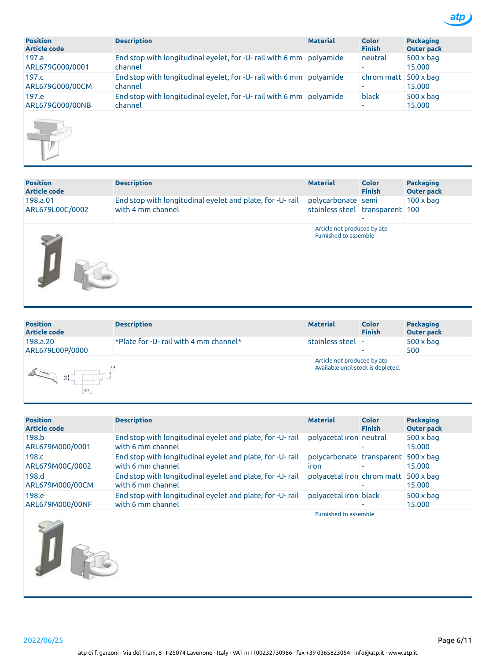

| <b>Position</b><br><b>Article code</b> | <b>Description</b>                                                             | <b>Material</b> | <b>Color</b><br><b>Finish</b> | <b>Packaging</b><br><b>Outer pack</b> |
|----------------------------------------|--------------------------------------------------------------------------------|-----------------|-------------------------------|---------------------------------------|
| 197.a<br>ARL679G000/0001               | End stop with longitudinal eyelet, for -U- rail with 6 mm polyamide<br>channel |                 | neutral                       | $500 \times$ bag<br>15,000            |
| 197.c<br>ARL679G000/00CM               | End stop with longitudinal eyelet, for -U- rail with 6 mm polyamide<br>channel |                 | chrom matt $ 500 \times$ bag  | 15,000                                |
| 197.e<br>ARL679G000/00NB               | End stop with longitudinal eyelet, for -U- rail with 6 mm polyamide<br>channel |                 | black                         | $500 \times$ bag<br>15.000            |
|                                        |                                                                                |                 |                               |                                       |



| <b>Position</b><br>Article code | <b>Description</b>                                                             | <b>Material</b>                                       | <b>Color</b><br><b>Finish</b> | <b>Packaging</b><br><b>Outer pack</b> |
|---------------------------------|--------------------------------------------------------------------------------|-------------------------------------------------------|-------------------------------|---------------------------------------|
| 198.a.01<br>ARL679L00C/0002     | End stop with longitudinal eyelet and plate, for -U- rail<br>with 4 mm channel | polycarbonate semi<br>stainless steel transparent 100 |                               | $100 \times$ bag                      |
|                                 |                                                                                | Article not produced by atp<br>Furnished to assemble  |                               |                                       |

| <b>Position</b><br><b>Article code</b> | <b>Description</b>                     | <b>Material</b>                                                   | <b>Color</b><br><b>Finish</b> | <b>Packaging</b><br><b>Outer pack</b> |
|----------------------------------------|----------------------------------------|-------------------------------------------------------------------|-------------------------------|---------------------------------------|
| 198.a.20<br>ARL679L00P/0000            | *Plate for -U- rail with 4 mm channel* | stainless steel  -                                                |                               | $500 \times$ bag<br>500               |
| 3,6<br>51<br>6,1                       |                                        | Article not produced by atp<br>Available until stock is depleted. |                               |                                       |

| <b>Position</b><br><b>Article code</b> | <b>Description</b>                                                             | <b>Material</b>                                    | <b>Color</b><br><b>Finish</b> | <b>Packaging</b><br><b>Outer pack</b> |
|----------------------------------------|--------------------------------------------------------------------------------|----------------------------------------------------|-------------------------------|---------------------------------------|
| 198 <sub>b</sub><br>ARL679M000/0001    | End stop with longitudinal eyelet and plate, for -U-rail<br>with 6 mm channel  | polyacetal iron neutral                            |                               | $500 \times$ bag<br>15,000            |
| 198.c<br>ARL679M00C/0002               | End stop with longitudinal eyelet and plate, for -U-rail<br>with 6 mm channel  | polycarbonate transparent 500 x bag<br><b>Iron</b> |                               | 15,000                                |
| 198.d<br>ARL679M000/00CM               | End stop with longitudinal eyelet and plate, for -U-rail<br>with 6 mm channel  | polyacetal iron chrom matt 500 x bag               |                               | 15,000                                |
| 198.e<br>ARL679M000/00NF               | End stop with longitudinal eyelet and plate, for -U- rail<br>with 6 mm channel | polyacetal iron black                              |                               | $500 \times$ bag<br>15.000            |
|                                        |                                                                                | <b>Furnished to assemble</b>                       |                               |                                       |

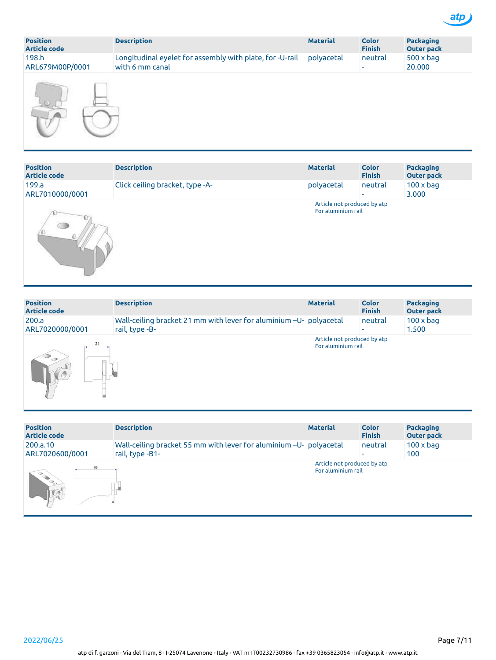| <b>Position</b><br><b>Article code</b> | <b>Description</b>                                                          | <b>Material</b> | <b>Color</b><br><b>Finish</b> | <b>Packaging</b><br><b>Outer pack</b> |
|----------------------------------------|-----------------------------------------------------------------------------|-----------------|-------------------------------|---------------------------------------|
| 198.h<br>ARL679M00P/0001               | Longitudinal eyelet for assembly with plate, for -U-rail<br>with 6 mm canal | polyacetal      | neutral                       | $500 \times$ bag<br>20,000            |
|                                        |                                                                             |                 |                               |                                       |

| <b>Position</b><br><b>Article code</b>            | <b>Description</b>              | <b>Material</b> | <b>Color</b><br><b>Finish</b> | <b>Packaging</b><br><b>Outer pack</b> |
|---------------------------------------------------|---------------------------------|-----------------|-------------------------------|---------------------------------------|
| 199.a<br>ARL7010000/0001                          | Click ceiling bracket, type -A- | polyacetal      | neutral                       | $100 \times$ bag<br>3.000             |
| Article not produced by atp<br>For aluminium rail |                                 |                 |                               |                                       |

| <b>Position</b><br><b>Article code</b> | <b>Description</b>                                                                   | <b>Material</b>                                   | <b>Color</b><br><b>Finish</b> | <b>Packaging</b><br><b>Outer pack</b> |
|----------------------------------------|--------------------------------------------------------------------------------------|---------------------------------------------------|-------------------------------|---------------------------------------|
| 200.a<br>ARL7020000/0001               | Wall-ceiling bracket 21 mm with lever for aluminium -U- polyacetal<br>rail, type -B- |                                                   | neutral                       | $100 \times$ bag<br>1.500             |
| 21<br>$\rightarrow$<br>٠               |                                                                                      | Article not produced by atp<br>For aluminium rail |                               |                                       |

| <b>Position</b><br><b>Article code</b> | <b>Description</b>                                                                    | <b>Material</b>                                   | <b>Color</b><br><b>Finish</b> | <b>Packaging</b><br><b>Outer pack</b> |
|----------------------------------------|---------------------------------------------------------------------------------------|---------------------------------------------------|-------------------------------|---------------------------------------|
| 200.a.10<br>ARL7020600/0001            | Wall-ceiling bracket 55 mm with lever for aluminium -U- polyacetal<br>rail, type -B1- |                                                   | neutral                       | $100 \times$ bag<br>100               |
| 55<br>$\circledcirc$<br><b>BOO</b>     |                                                                                       | Article not produced by atp<br>For aluminium rail |                               |                                       |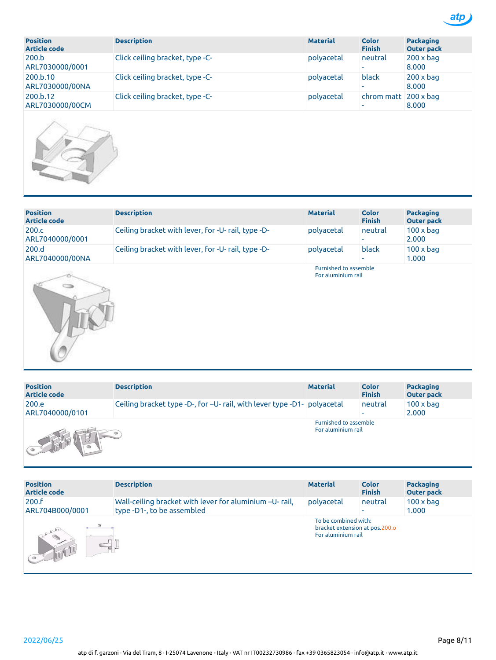

| <b>Position</b><br><b>Article code</b> | <b>Description</b>              | <b>Material</b> | <b>Color</b><br><b>Finish</b> | <b>Packaging</b><br><b>Outer pack</b> |
|----------------------------------------|---------------------------------|-----------------|-------------------------------|---------------------------------------|
| 200.b<br>ARL7030000/0001               | Click ceiling bracket, type -C- | polyacetal      | neutral                       | $200 \times$ bag<br>8.000             |
| 200.b.10<br>ARL7030000/00NA            | Click ceiling bracket, type -C- | polyacetal      | black                         | $200 \times$ bag<br>8.000             |
| 200.b.12<br>ARL7030000/00CM            | Click ceiling bracket, type -C- | polyacetal      | chrom matt 200 x bag          | 8.000                                 |



| <b>Position</b><br><b>Article code</b>             | <b>Description</b>                                 | <b>Material</b> | Color<br><b>Finish</b> | <b>Packaging</b><br><b>Outer pack</b> |
|----------------------------------------------------|----------------------------------------------------|-----------------|------------------------|---------------------------------------|
| 200.c<br>ARL7040000/0001                           | Ceiling bracket with lever, for -U- rail, type -D- | polyacetal      | neutral                | $100 \times$ bag<br>2.000             |
| 200.d<br>ARL7040000/00NA                           | Ceiling bracket with lever, for -U- rail, type -D- | polyacetal      | black                  | $100 \times$ bag<br>1.000             |
| <b>Furnished to assemble</b><br>For aluminium rail |                                                    |                 |                        |                                       |



| <b>Position</b><br><b>Article code</b> | <b>Description</b>                                                      | <b>Material</b>                             | <b>Color</b><br><b>Finish</b> | <b>Packaging</b><br><b>Outer pack</b> |
|----------------------------------------|-------------------------------------------------------------------------|---------------------------------------------|-------------------------------|---------------------------------------|
| 200.e<br>ARL7040000/0101               | Ceiling bracket type -D-, for -U- rail, with lever type -D1- polyacetal |                                             | neutral                       | $100 \times$ bag<br>2.000             |
|                                        |                                                                         | Furnished to assemble<br>For aluminium rail |                               |                                       |

| <b>Position</b><br><b>Article code</b> | <b>Description</b>                                                                    | <b>Material</b>                                                              | <b>Color</b><br><b>Finish</b> | <b>Packaging</b><br><b>Outer pack</b> |
|----------------------------------------|---------------------------------------------------------------------------------------|------------------------------------------------------------------------------|-------------------------------|---------------------------------------|
| 200.f<br>ARL704B000/0001               | Wall-ceiling bracket with lever for aluminium -U- rail,<br>type -D1-, to be assembled | polyacetal                                                                   | neutral                       | $100 \times$ bag<br>1.000             |
| 27<br>$\circ$ $\circ$                  |                                                                                       | To be combined with:<br>bracket extension at pos.200.o<br>For aluminium rail |                               |                                       |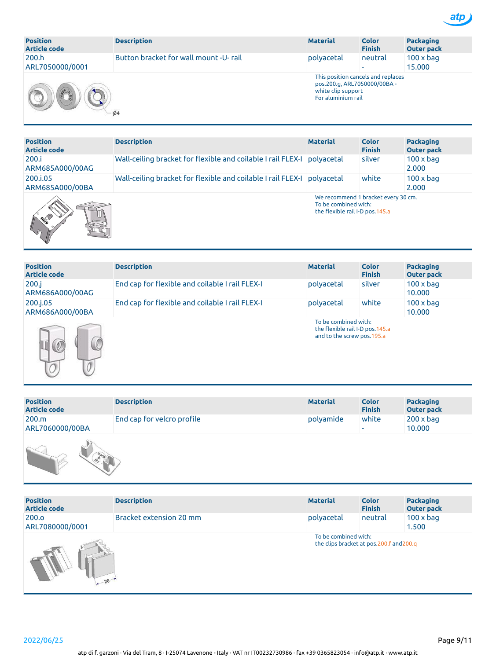| <b>Position</b><br><b>Article code</b> | <b>Description</b>                    | <b>Material</b>                                                          | Color<br><b>Finish</b>             | <b>Packaging</b><br><b>Outer pack</b> |
|----------------------------------------|---------------------------------------|--------------------------------------------------------------------------|------------------------------------|---------------------------------------|
| 200.h<br>ARL7050000/0001               | Button bracket for wall mount -U-rail | polyacetal                                                               | neutral                            | $100 \times$ bag<br>15.000            |
|                                        | $\phi$ 4                              | pos.200.g, ARL7050000/00BA -<br>white clip support<br>For aluminium rail | This position cancels and replaces |                                       |

| <b>Position</b><br><b>Article code</b> | <b>Description</b>                                                      | <b>Material</b>                                         | Color<br><b>Finish</b>              | <b>Packaging</b><br><b>Outer pack</b> |
|----------------------------------------|-------------------------------------------------------------------------|---------------------------------------------------------|-------------------------------------|---------------------------------------|
| 200.i<br>ARM685A000/00AG               | Wall-ceiling bracket for flexible and coilable I rail FLEX-I polyacetal |                                                         | silver                              | $100 \times$ bag<br>2.000             |
| 200.i.05<br>ARM685A000/00BA            | Wall-ceiling bracket for flexible and coilable I rail FLEX-I polyacetal |                                                         | white                               | $100 \times$ bag<br>2.000             |
|                                        |                                                                         | To be combined with:<br>the flexible rail I-D pos.145.a | We recommend 1 bracket every 30 cm. |                                       |

| <b>Position</b><br><b>Article code</b> | <b>Description</b>                              | <b>Material</b>                                                                       | <b>Color</b><br><b>Finish</b> | <b>Packaging</b><br><b>Outer pack</b> |
|----------------------------------------|-------------------------------------------------|---------------------------------------------------------------------------------------|-------------------------------|---------------------------------------|
| 200.j<br>ARM686A000/00AG               | End cap for flexible and coilable I rail FLEX-I | polyacetal                                                                            | silver                        | $100 \times$ bag<br>10.000            |
| 200.j.05<br>ARM686A000/00BA            | End cap for flexible and coilable I rail FLEX-I | polyacetal                                                                            | white                         | $100 \times$ bag<br>10.000            |
|                                        |                                                 | To be combined with:<br>the flexible rail I-D pos.145.a<br>and to the screw pos.195.a |                               |                                       |

| <b>Position</b><br><b>Article code</b> | <b>Description</b>         | <b>Material</b> | <b>Color</b><br><b>Finish</b> | <b>Packaging</b><br><b>Outer pack</b> |
|----------------------------------------|----------------------------|-----------------|-------------------------------|---------------------------------------|
| 200.m<br>ARL7060000/00BA               | End cap for velcro profile | polyamide       | white<br>-                    | $200 \times$ bag<br>10.000            |
| made                                   |                            |                 |                               |                                       |

| <b>Position</b><br><b>Article code</b> | <b>Description</b>      | <b>Material</b>      | <b>Color</b><br><b>Finish</b>            | <b>Packaging</b><br><b>Outer pack</b> |
|----------------------------------------|-------------------------|----------------------|------------------------------------------|---------------------------------------|
| 200.o<br>ARL7080000/0001               | Bracket extension 20 mm | polyacetal           | neutral                                  | $100 \times$ bag<br>1.500             |
| $20 -$                                 |                         | To be combined with: | the clips bracket at pos.200.f and 200.g |                                       |

atp)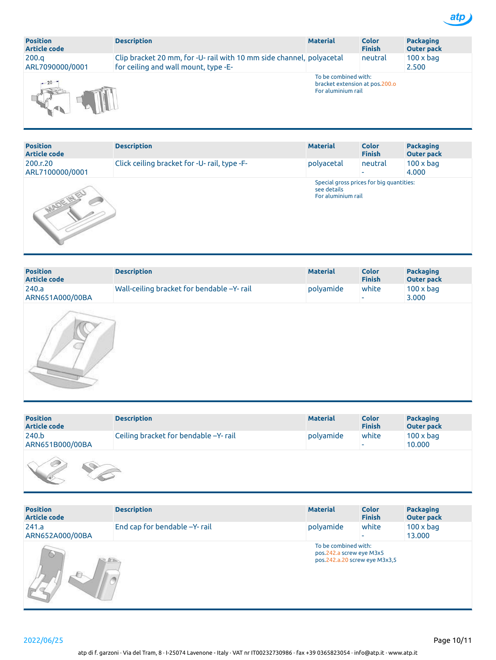| <b>Position</b><br><b>Article code</b> | <b>Description</b>                                                                                           | <b>Material</b>                                                              | Color<br><b>Finish</b> | <b>Packaging</b><br><b>Outer pack</b> |
|----------------------------------------|--------------------------------------------------------------------------------------------------------------|------------------------------------------------------------------------------|------------------------|---------------------------------------|
| 200.q<br>ARL7090000/0001               | Clip bracket 20 mm, for -U- rail with 10 mm side channel, polyacetal<br>for ceiling and wall mount, type -E- |                                                                              | neutral                | $100 \times$ bag<br>2.500             |
| $-20$                                  |                                                                                                              | To be combined with:<br>bracket extension at pos.200.o<br>For aluminium rail |                        |                                       |

| <b>Position</b><br><b>Article code</b>   | <b>Description</b>                           | <b>Material</b>                   | <b>Color</b><br><b>Finish</b>            | <b>Packaging</b><br><b>Outer pack</b> |
|------------------------------------------|----------------------------------------------|-----------------------------------|------------------------------------------|---------------------------------------|
| 200. <sub>r</sub> .20<br>ARL7100000/0001 | Click ceiling bracket for -U- rail, type -F- | polyacetal                        | neutral                                  | $100 \times$ bag<br>4.000             |
| ARDIE 1                                  |                                              | see details<br>For aluminium rail | Special gross prices for big quantities: |                                       |

| <b>Position</b><br><b>Article code</b> | <b>Description</b>                         | <b>Material</b> | <b>Color</b><br><b>Finish</b> | <b>Packaging</b><br><b>Outer pack</b> |
|----------------------------------------|--------------------------------------------|-----------------|-------------------------------|---------------------------------------|
| 240.a<br>ARN651A000/00BA               | Wall-ceiling bracket for bendable -Y- rail | polyamide       | white<br>$\sim$               | $100 \times$ bag<br>3.000             |
|                                        |                                            |                 |                               |                                       |

| <b>Position</b><br><b>Article code</b> | <b>Description</b>                    | <b>Material</b> | <b>Color</b><br><b>Finish</b> | <b>Packaging</b><br><b>Outer pack</b> |
|----------------------------------------|---------------------------------------|-----------------|-------------------------------|---------------------------------------|
| 240.b<br>ARN651B000/00BA               | Ceiling bracket for bendable -Y- rail | polyamide       | white                         | $100 \times$ bag<br>10.000            |
|                                        |                                       |                 |                               |                                       |

| <b>Position</b><br><b>Article code</b> | <b>Description</b>            | <b>Material</b>                                                                   | <b>Color</b><br><b>Finish</b> | <b>Packaging</b><br><b>Outer pack</b> |
|----------------------------------------|-------------------------------|-----------------------------------------------------------------------------------|-------------------------------|---------------------------------------|
| 241.a<br>ARN652A000/00BA               | End cap for bendable -Y- rail | polyamide                                                                         | white                         | $100 \times$ bag<br>13.000            |
| $\circ$<br>$R$ <sup>E</sup>            |                               | To be combined with:<br>pos.242.a screw eye M3x5<br>pos.242.a.20 screw eye M3x3,5 |                               |                                       |